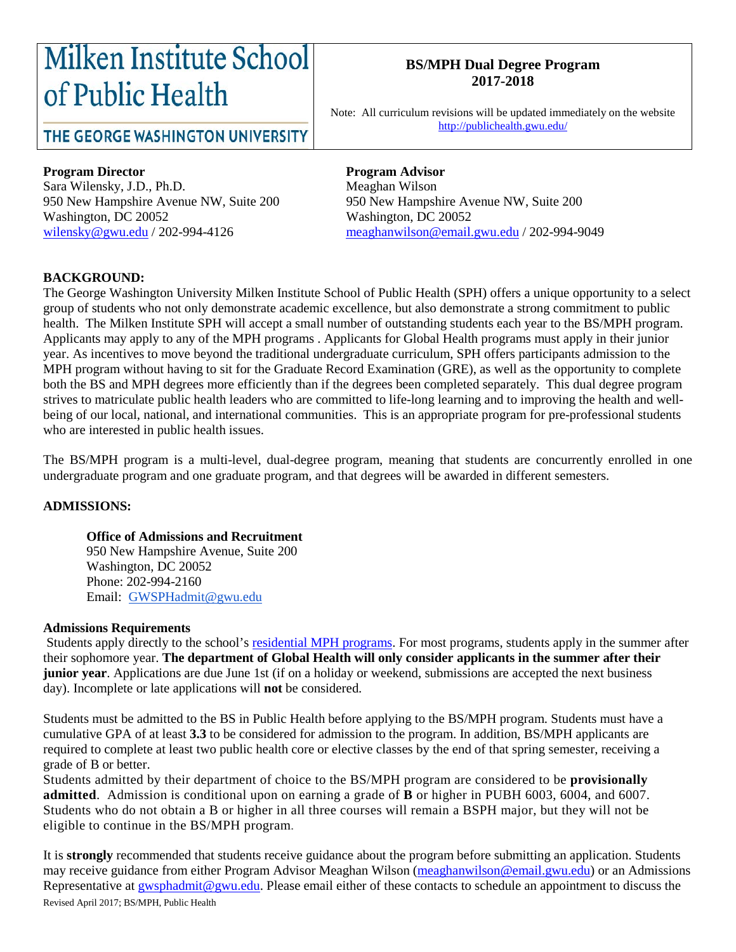# **Milken Institute School** of Public Health

### THE GEORGE WASHINGTON UNIVERSITY

#### **BS/MPH Dual Degree Program 2017-2018**

Note: All curriculum revisions will be updated immediately on the website <http://publichealth.gwu.edu/>

#### **Program Director Program Advisor**

Sara Wilensky, J.D., Ph.D. Meaghan Wilson 950 New Hampshire Avenue NW, Suite 200 950 New Hampshire Avenue NW, Suite 200 Washington, DC 20052<br>wilensky@gwu.edu / 202-994-4126 meaghanwilson@email.youtube.com

[meaghanwilson@email.gwu.edu](mailto:meaghanwilson@email.gwu.edu) / 202-994-9049

#### **BACKGROUND:**

The George Washington University Milken Institute School of Public Health (SPH) offers a unique opportunity to a select group of students who not only demonstrate academic excellence, but also demonstrate a strong commitment to public health. The Milken Institute SPH will accept a small number of outstanding students each year to the BS/MPH program. Applicants may apply to any of the MPH programs . Applicants for Global Health programs must apply in their junior year. As incentives to move beyond the traditional undergraduate curriculum, SPH offers participants admission to the MPH program without having to sit for the Graduate Record Examination (GRE), as well as the opportunity to complete both the BS and MPH degrees more efficiently than if the degrees been completed separately. This dual degree program strives to matriculate public health leaders who are committed to life-long learning and to improving the health and wellbeing of our local, national, and international communities. This is an appropriate program for pre-professional students who are interested in public health issues.

The BS/MPH program is a multi-level, dual-degree program, meaning that students are concurrently enrolled in one undergraduate program and one graduate program, and that degrees will be awarded in different semesters.

#### **ADMISSIONS:**

#### **Office of Admissions and Recruitment**

950 New Hampshire Avenue, Suite 200 Washington, DC 20052 Phone: 202-994-2160 Email: [GWSPHadmit@gwu.edu](mailto:GWSPHadmit@gwu.edu)

#### **Admissions Requirements**

Students apply directly to the school's residential [MPH programs.](http://publichealth.gwu.edu/academics/graduate/masters-programs) For most programs, students apply in the summer after their sophomore year. **The department of Global Health will only consider applicants in the summer after their junior year**. Applications are due June 1st (if on a holiday or weekend, submissions are accepted the next business day). Incomplete or late applications will **not** be considered.

Students must be admitted to the BS in Public Health before applying to the BS/MPH program. Students must have a cumulative GPA of at least **3.3** to be considered for admission to the program. In addition, BS/MPH applicants are required to complete at least two public health core or elective classes by the end of that spring semester, receiving a grade of B or better.

Students admitted by their department of choice to the BS/MPH program are considered to be **provisionally admitted**. Admission is conditional upon on earning a grade of **B** or higher in PUBH 6003, 6004, and 6007. Students who do not obtain a B or higher in all three courses will remain a BSPH major, but they will not be eligible to continue in the BS/MPH program.

Revised April 2017; BS/MPH, Public Health It is **strongly** recommended that students receive guidance about the program before submitting an application. Students may receive guidance from either Program Advisor Meaghan Wilson [\(meaghanwilson@email.gwu.edu\)](mailto:meaghanwilson@email.gwu.edu) or an Admissions Representative at [gwsphadmit@gwu.edu.](mailto:gwsphadmit@gwu.edu) Please email either of these contacts to schedule an appointment to discuss the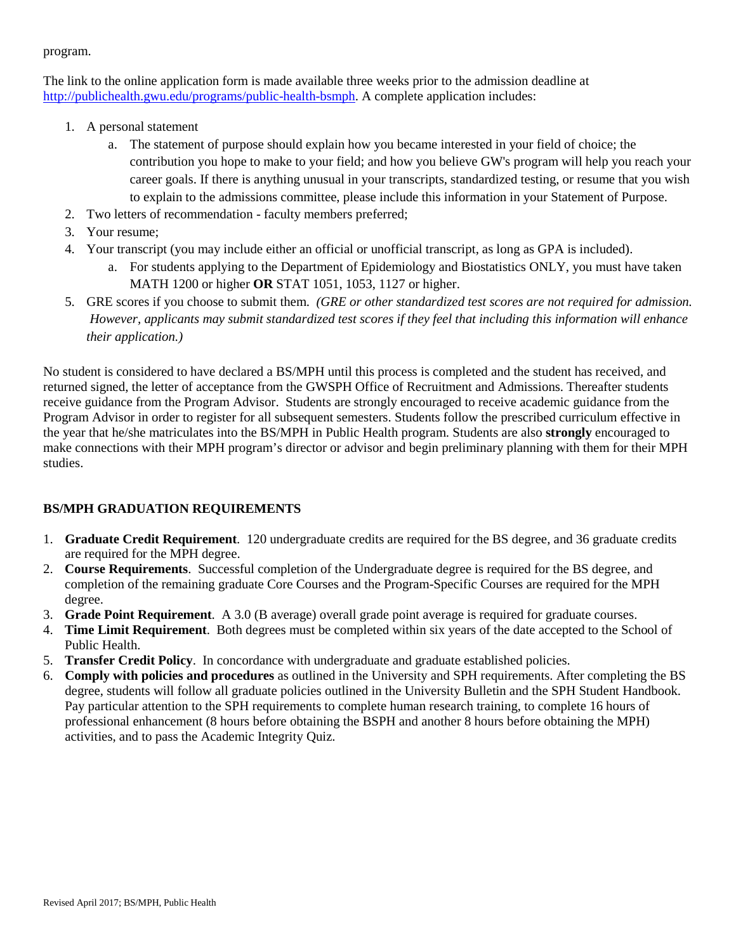program.

The link to the online application form is made available three weeks prior to the admission deadline at [http://publichealth.gwu.edu/programs/public-health-bsmph.](http://publichealth.gwu.edu/programs/public-health-bsmph) A complete application includes:

- 1. A personal statement
	- a. The statement of purpose should explain how you became interested in your field of choice; the contribution you hope to make to your field; and how you believe GW's program will help you reach your career goals. If there is anything unusual in your transcripts, standardized testing, or resume that you wish to explain to the admissions committee, please include this information in your Statement of Purpose.
- 2. Two letters of recommendation faculty members preferred;
- 3. Your resume;
- 4. Your transcript (you may include either an official or unofficial transcript, as long as GPA is included).
	- a. For students applying to the Department of Epidemiology and Biostatistics ONLY, you must have taken MATH 1200 or higher **OR** STAT 1051, 1053, 1127 or higher.
- 5. GRE scores if you choose to submit them. *(GRE or other standardized test scores are not required for admission.* However, applicants may submit standardized test scores if they feel that including this information will enhance *their application.)*

No student is considered to have declared a BS/MPH until this process is completed and the student has received, and returned signed, the letter of acceptance from the GWSPH Office of Recruitment and Admissions. Thereafter students receive guidance from the Program Advisor. Students are strongly encouraged to receive academic guidance from the Program Advisor in order to register for all subsequent semesters. Students follow the prescribed curriculum effective in the year that he/she matriculates into the BS/MPH in Public Health program. Students are also **strongly** encouraged to make connections with their MPH program's director or advisor and begin preliminary planning with them for their MPH studies.

#### **BS/MPH GRADUATION REQUIREMENTS**

- 1. **Graduate Credit Requirement**. 120 undergraduate credits are required for the BS degree, and 36 graduate credits are required for the MPH degree.
- 2. **Course Requirements**. Successful completion of the Undergraduate degree is required for the BS degree, and completion of the remaining graduate Core Courses and the Program-Specific Courses are required for the MPH degree.
- 3. **Grade Point Requirement**. A 3.0 (B average) overall grade point average is required for graduate courses.
- 4. **Time Limit Requirement**. Both degrees must be completed within six years of the date accepted to the School of Public Health.
- 5. **Transfer Credit Policy**. In concordance with undergraduate and graduate established policies.
- 6. **Comply with policies and procedures** as outlined in the University and SPH requirements. After completing the BS degree, students will follow all graduate policies outlined in the University Bulletin and the SPH Student Handbook. Pay particular attention to the SPH requirements to complete human research training, to complete 16 hours of professional enhancement (8 hours before obtaining the BSPH and another 8 hours before obtaining the MPH) activities, and to pass the Academic Integrity Quiz.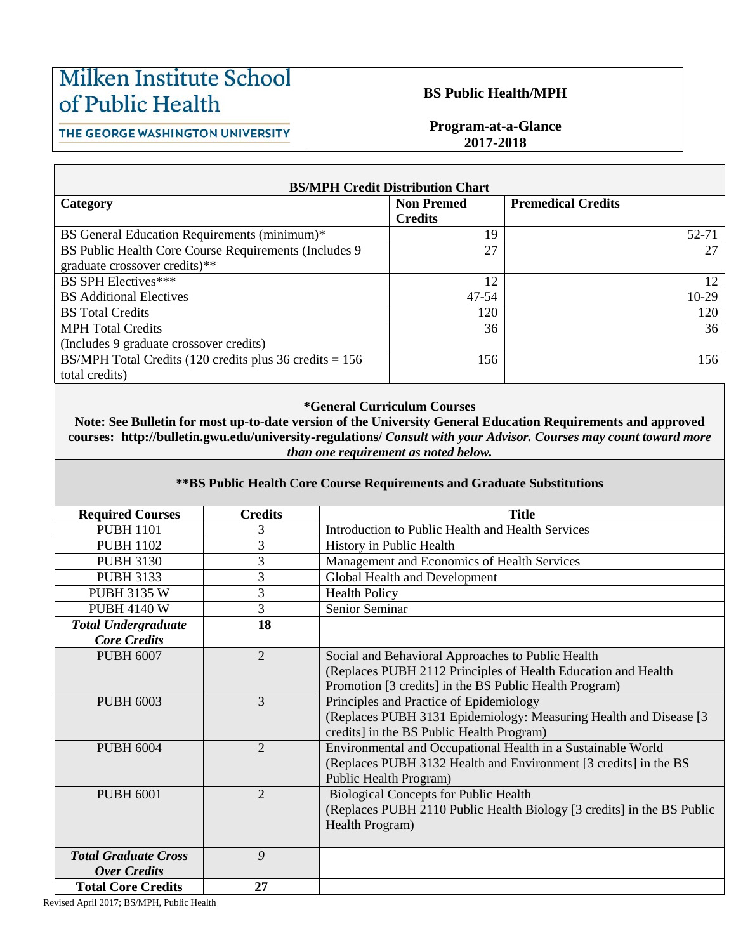## Milken Institute School of Public Health

#### **BS Public Health/MPH**

#### THE GEORGE WASHINGTON UNIVERSITY

Г

#### **Program-at-a-Glance 2017-2018**

| <b>BS/MPH Credit Distribution Chart</b>                     |                   |                           |  |  |  |
|-------------------------------------------------------------|-------------------|---------------------------|--|--|--|
| Category                                                    | <b>Non Premed</b> | <b>Premedical Credits</b> |  |  |  |
|                                                             | <b>Credits</b>    |                           |  |  |  |
| BS General Education Requirements (minimum)*                | 19                | 52-71                     |  |  |  |
| BS Public Health Core Course Requirements (Includes 9       | 27                | 27                        |  |  |  |
| graduate crossover credits)**                               |                   |                           |  |  |  |
| <b>BS SPH Electives***</b>                                  | 12                | 12                        |  |  |  |
| <b>BS</b> Additional Electives                              | 47-54             | $10-29$                   |  |  |  |
| <b>BS</b> Total Credits                                     | 120               | 120                       |  |  |  |
| <b>MPH</b> Total Credits                                    | 36                | 36                        |  |  |  |
| (Includes 9 graduate crossover credits)                     |                   |                           |  |  |  |
| BS/MPH Total Credits (120 credits plus 36 credits $= 156$ ) | 156               | 156                       |  |  |  |
| total credits)                                              |                   |                           |  |  |  |

#### **\*General Curriculum Courses**

**Note: See Bulletin for most up-to-date version of the University General Education Requirements and approved courses: http://bulletin.gwu.edu/university-regulations/** *Consult with your Advisor. Courses may count toward more than one requirement as noted below.*

#### **\*\*BS Public Health Core Course Requirements and Graduate Substitutions**

| <b>Required Courses</b>     | <b>Credits</b> | <b>Title</b>                                                           |
|-----------------------------|----------------|------------------------------------------------------------------------|
| <b>PUBH 1101</b>            | 3              | Introduction to Public Health and Health Services                      |
| <b>PUBH 1102</b>            | 3              | History in Public Health                                               |
| <b>PUBH 3130</b>            | 3              | Management and Economics of Health Services                            |
| <b>PUBH 3133</b>            | 3              | Global Health and Development                                          |
| <b>PUBH 3135 W</b>          | 3              | <b>Health Policy</b>                                                   |
| <b>PUBH 4140 W</b>          | 3              | Senior Seminar                                                         |
| <b>Total Undergraduate</b>  | 18             |                                                                        |
| <b>Core Credits</b>         |                |                                                                        |
| <b>PUBH 6007</b>            | $\overline{2}$ | Social and Behavioral Approaches to Public Health                      |
|                             |                | (Replaces PUBH 2112 Principles of Health Education and Health          |
|                             |                | Promotion [3 credits] in the BS Public Health Program)                 |
| <b>PUBH 6003</b>            | 3              | Principles and Practice of Epidemiology                                |
|                             |                | (Replaces PUBH 3131 Epidemiology: Measuring Health and Disease [3]     |
|                             |                | credits] in the BS Public Health Program)                              |
| <b>PUBH 6004</b>            | $\overline{2}$ | Environmental and Occupational Health in a Sustainable World           |
|                             |                | (Replaces PUBH 3132 Health and Environment [3 credits] in the BS       |
|                             |                | Public Health Program)                                                 |
| <b>PUBH 6001</b>            | $\overline{2}$ | <b>Biological Concepts for Public Health</b>                           |
|                             |                | (Replaces PUBH 2110 Public Health Biology [3 credits] in the BS Public |
|                             |                | Health Program)                                                        |
|                             |                |                                                                        |
| <b>Total Graduate Cross</b> | 9              |                                                                        |
| <b>Over Credits</b>         |                |                                                                        |
| <b>Total Core Credits</b>   | 27             |                                                                        |

Revised April 2017; BS/MPH, Public Health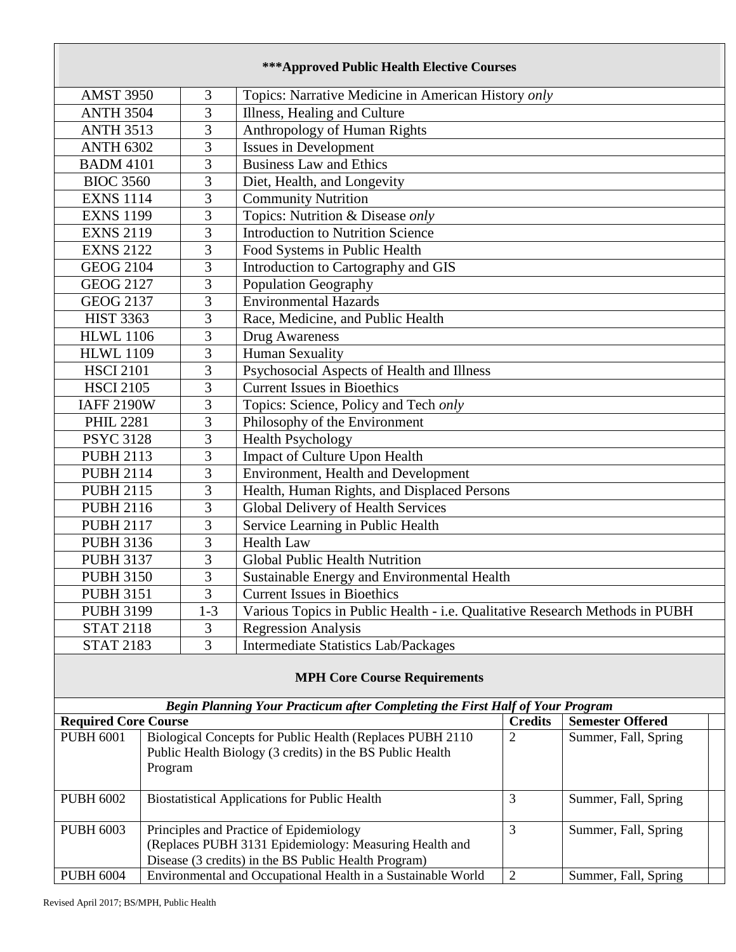| <b>***Approved Public Health Elective Courses</b> |                                                              |                |                                                                               |                      |                         |  |
|---------------------------------------------------|--------------------------------------------------------------|----------------|-------------------------------------------------------------------------------|----------------------|-------------------------|--|
| <b>AMST 3950</b>                                  |                                                              | 3              | Topics: Narrative Medicine in American History only                           |                      |                         |  |
| <b>ANTH 3504</b>                                  |                                                              | 3              | Illness, Healing and Culture                                                  |                      |                         |  |
| <b>ANTH 3513</b>                                  |                                                              | 3              | Anthropology of Human Rights                                                  |                      |                         |  |
| <b>ANTH 6302</b>                                  |                                                              | 3              | Issues in Development                                                         |                      |                         |  |
| <b>BADM 4101</b>                                  |                                                              | 3              | <b>Business Law and Ethics</b>                                                |                      |                         |  |
| <b>BIOC 3560</b>                                  |                                                              | 3              | Diet, Health, and Longevity                                                   |                      |                         |  |
| <b>EXNS 1114</b>                                  |                                                              | 3              | <b>Community Nutrition</b>                                                    |                      |                         |  |
| <b>EXNS 1199</b>                                  |                                                              | 3              | Topics: Nutrition & Disease only                                              |                      |                         |  |
| <b>EXNS 2119</b>                                  |                                                              | 3              | <b>Introduction to Nutrition Science</b>                                      |                      |                         |  |
| <b>EXNS 2122</b>                                  |                                                              | $\overline{3}$ | Food Systems in Public Health                                                 |                      |                         |  |
| <b>GEOG 2104</b>                                  |                                                              | 3              | Introduction to Cartography and GIS                                           |                      |                         |  |
| <b>GEOG 2127</b>                                  |                                                              | 3              | Population Geography                                                          |                      |                         |  |
| <b>GEOG 2137</b>                                  |                                                              | 3              | <b>Environmental Hazards</b>                                                  |                      |                         |  |
| <b>HIST 3363</b>                                  |                                                              | 3              | Race, Medicine, and Public Health                                             |                      |                         |  |
| <b>HLWL 1106</b>                                  |                                                              | 3              | Drug Awareness                                                                |                      |                         |  |
| <b>HLWL 1109</b>                                  |                                                              | 3              | <b>Human Sexuality</b>                                                        |                      |                         |  |
| <b>HSCI 2101</b>                                  |                                                              | 3              | Psychosocial Aspects of Health and Illness                                    |                      |                         |  |
| <b>HSCI 2105</b>                                  |                                                              | 3              | <b>Current Issues in Bioethics</b>                                            |                      |                         |  |
| <b>IAFF 2190W</b>                                 |                                                              | 3              | Topics: Science, Policy and Tech only                                         |                      |                         |  |
| <b>PHIL 2281</b>                                  |                                                              | 3              | Philosophy of the Environment                                                 |                      |                         |  |
| <b>PSYC 3128</b>                                  |                                                              | 3              | <b>Health Psychology</b>                                                      |                      |                         |  |
| <b>PUBH 2113</b>                                  |                                                              | 3              | Impact of Culture Upon Health                                                 |                      |                         |  |
| <b>PUBH 2114</b>                                  |                                                              | 3              | Environment, Health and Development                                           |                      |                         |  |
| <b>PUBH 2115</b>                                  |                                                              | 3              | Health, Human Rights, and Displaced Persons                                   |                      |                         |  |
| <b>PUBH 2116</b>                                  |                                                              | 3              | Global Delivery of Health Services                                            |                      |                         |  |
| <b>PUBH 2117</b>                                  |                                                              | 3              | Service Learning in Public Health                                             |                      |                         |  |
| <b>PUBH 3136</b>                                  |                                                              | $\overline{3}$ | <b>Health Law</b>                                                             |                      |                         |  |
| <b>PUBH 3137</b>                                  |                                                              | 3              | Global Public Health Nutrition                                                |                      |                         |  |
| <b>PUBH 3150</b>                                  |                                                              | 3              | Sustainable Energy and Environmental Health                                   |                      |                         |  |
| <b>PUBH 3151</b>                                  |                                                              | 3              | <b>Current Issues in Bioethics</b>                                            |                      |                         |  |
| <b>PUBH 3199</b>                                  |                                                              | $1 - 3$        | Various Topics in Public Health - i.e. Qualitative Research Methods in PUBH   |                      |                         |  |
| <b>STAT 2118</b>                                  |                                                              | 3              | <b>Regression Analysis</b>                                                    |                      |                         |  |
| <b>STAT 2183</b>                                  |                                                              | 3              | <b>Intermediate Statistics Lab/Packages</b>                                   |                      |                         |  |
| <b>MPH Core Course Requirements</b>               |                                                              |                |                                                                               |                      |                         |  |
|                                                   |                                                              |                | Begin Planning Your Practicum after Completing the First Half of Your Program |                      |                         |  |
| <b>Required Core Course</b>                       |                                                              |                |                                                                               | <b>Credits</b>       | <b>Semester Offered</b> |  |
| <b>PUBH 6001</b>                                  |                                                              |                | Biological Concepts for Public Health (Replaces PUBH 2110                     | $\overline{2}$       | Summer, Fall, Spring    |  |
|                                                   | Program                                                      |                | Public Health Biology (3 credits) in the BS Public Health                     |                      |                         |  |
|                                                   |                                                              |                |                                                                               |                      |                         |  |
| <b>PUBH 6002</b>                                  | <b>Biostatistical Applications for Public Health</b>         |                | $\overline{3}$                                                                | Summer, Fall, Spring |                         |  |
| <b>PUBH 6003</b>                                  |                                                              |                | Principles and Practice of Epidemiology                                       | 3                    | Summer, Fall, Spring    |  |
|                                                   |                                                              |                | (Replaces PUBH 3131 Epidemiology: Measuring Health and                        |                      |                         |  |
|                                                   |                                                              |                | Disease (3 credits) in the BS Public Health Program)                          |                      |                         |  |
| <b>PUBH 6004</b>                                  | Environmental and Occupational Health in a Sustainable World |                | $\mathbf{2}$                                                                  | Summer, Fall, Spring |                         |  |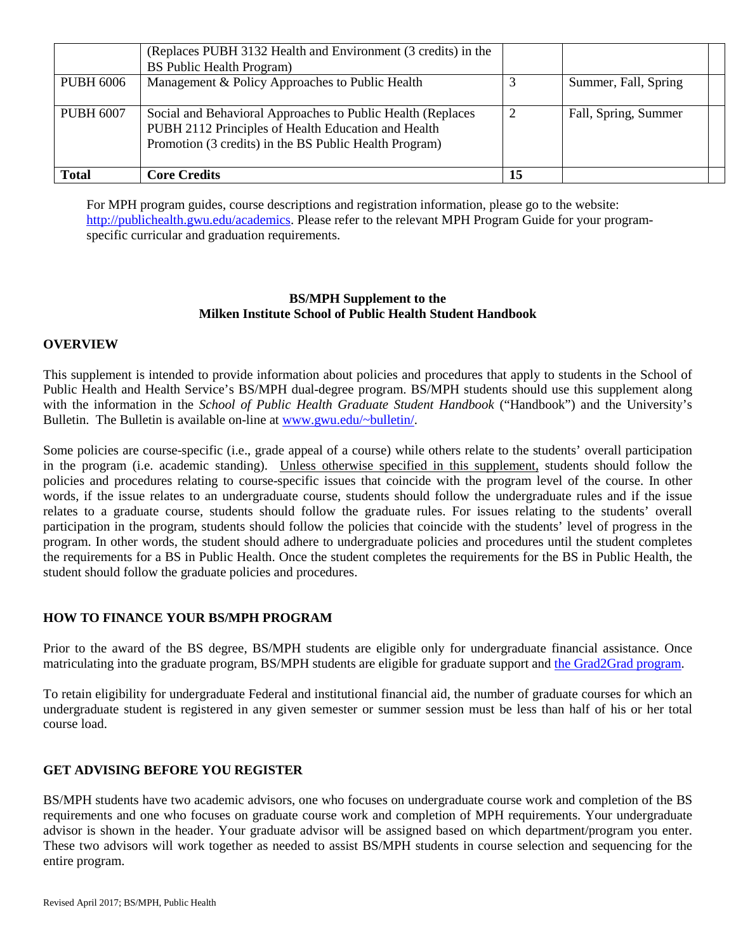| <b>Total</b>     | <b>Core Credits</b>                                           | 15 |                      |  |
|------------------|---------------------------------------------------------------|----|----------------------|--|
|                  | Promotion (3 credits) in the BS Public Health Program)        |    |                      |  |
|                  | PUBH 2112 Principles of Health Education and Health           |    |                      |  |
| <b>PUBH 6007</b> | Social and Behavioral Approaches to Public Health (Replaces   |    | Fall, Spring, Summer |  |
|                  |                                                               |    |                      |  |
| <b>PUBH 6006</b> | Management & Policy Approaches to Public Health               |    | Summer, Fall, Spring |  |
|                  | <b>BS</b> Public Health Program)                              |    |                      |  |
|                  | (Replaces PUBH 3132 Health and Environment (3 credits) in the |    |                      |  |

For MPH program guides, course descriptions and registration information, please go to the website: [http://publichealth.gwu.edu/academics.](http://publichealth.gwu.edu/academics) Please refer to the relevant MPH Program Guide for your programspecific curricular and graduation requirements.

#### **BS/MPH Supplement to the Milken Institute School of Public Health Student Handbook**

#### **OVERVIEW**

This supplement is intended to provide information about policies and procedures that apply to students in the School of Public Health and Health Service's BS/MPH dual-degree program. BS/MPH students should use this supplement along with the information in the *School of Public Health Graduate Student Handbook* ("Handbook") and the University's Bulletin. The Bulletin is available on-line at [www.gwu.edu/~bulletin/.](http://www.gwu.edu/%7Ebulletin/)

Some policies are course-specific (i.e., grade appeal of a course) while others relate to the students' overall participation in the program (i.e. academic standing). Unless otherwise specified in this supplement, students should follow the policies and procedures relating to course-specific issues that coincide with the program level of the course. In other words, if the issue relates to an undergraduate course, students should follow the undergraduate rules and if the issue relates to a graduate course, students should follow the graduate rules. For issues relating to the students' overall participation in the program, students should follow the policies that coincide with the students' level of progress in the program. In other words, the student should adhere to undergraduate policies and procedures until the student completes the requirements for a BS in Public Health. Once the student completes the requirements for the BS in Public Health, the student should follow the graduate policies and procedures.

#### **HOW TO FINANCE YOUR BS/MPH PROGRAM**

Prior to the award of the BS degree, BS/MPH students are eligible only for undergraduate financial assistance. Once matriculating into the graduate program, BS/MPH students are eligible for graduate support and [the Grad2Grad program.](https://graduate.admissions.gwu.edu/grad2grad-program)

To retain eligibility for undergraduate Federal and institutional financial aid, the number of graduate courses for which an undergraduate student is registered in any given semester or summer session must be less than half of his or her total course load.

#### **GET ADVISING BEFORE YOU REGISTER**

BS/MPH students have two academic advisors, one who focuses on undergraduate course work and completion of the BS requirements and one who focuses on graduate course work and completion of MPH requirements. Your undergraduate advisor is shown in the header. Your graduate advisor will be assigned based on which department/program you enter. These two advisors will work together as needed to assist BS/MPH students in course selection and sequencing for the entire program.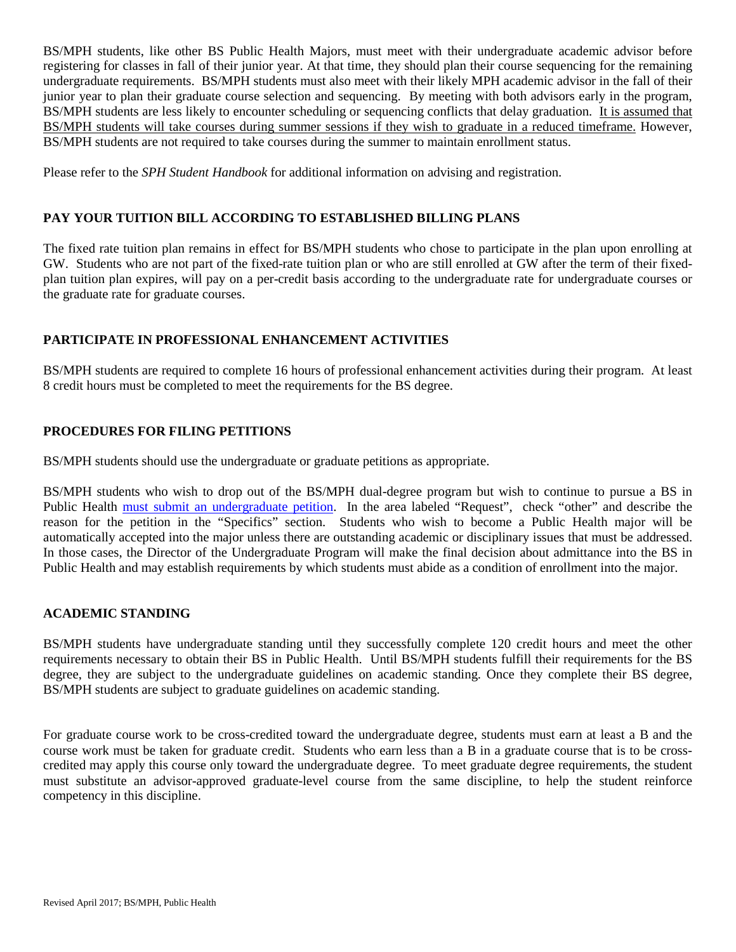BS/MPH students, like other BS Public Health Majors, must meet with their undergraduate academic advisor before registering for classes in fall of their junior year. At that time, they should plan their course sequencing for the remaining undergraduate requirements. BS/MPH students must also meet with their likely MPH academic advisor in the fall of their junior year to plan their graduate course selection and sequencing. By meeting with both advisors early in the program, BS/MPH students are less likely to encounter scheduling or sequencing conflicts that delay graduation. It is assumed that BS/MPH students will take courses during summer sessions if they wish to graduate in a reduced timeframe. However, BS/MPH students are not required to take courses during the summer to maintain enrollment status.

Please refer to the *SPH Student Handbook* for additional information on advising and registration.

#### **PAY YOUR TUITION BILL ACCORDING TO ESTABLISHED BILLING PLANS**

The fixed rate tuition plan remains in effect for BS/MPH students who chose to participate in the plan upon enrolling at GW. Students who are not part of the fixed-rate tuition plan or who are still enrolled at GW after the term of their fixedplan tuition plan expires, will pay on a per-credit basis according to the undergraduate rate for undergraduate courses or the graduate rate for graduate courses.

#### **PARTICIPATE IN PROFESSIONAL ENHANCEMENT ACTIVITIES**

BS/MPH students are required to complete 16 hours of professional enhancement activities during their program. At least 8 credit hours must be completed to meet the requirements for the BS degree.

#### **PROCEDURES FOR FILING PETITIONS**

BS/MPH students should use the undergraduate or graduate petitions as appropriate.

BS/MPH students who wish to drop out of the BS/MPH dual-degree program but wish to continue to pursue a BS in Public Health must [submit an undergraduate petition.](http://publichealth.gwu.edu/content/graduate-admissions-petitions) In the area labeled "Request", check "other" and describe the reason for the petition in the "Specifics" section. Students who wish to become a Public Health major will be automatically accepted into the major unless there are outstanding academic or disciplinary issues that must be addressed. In those cases, the Director of the Undergraduate Program will make the final decision about admittance into the BS in Public Health and may establish requirements by which students must abide as a condition of enrollment into the major.

#### **ACADEMIC STANDING**

BS/MPH students have undergraduate standing until they successfully complete 120 credit hours and meet the other requirements necessary to obtain their BS in Public Health. Until BS/MPH students fulfill their requirements for the BS degree, they are subject to the undergraduate guidelines on academic standing. Once they complete their BS degree, BS/MPH students are subject to graduate guidelines on academic standing.

For graduate course work to be cross-credited toward the undergraduate degree, students must earn at least a B and the course work must be taken for graduate credit. Students who earn less than a B in a graduate course that is to be crosscredited may apply this course only toward the undergraduate degree. To meet graduate degree requirements, the student must substitute an advisor-approved graduate-level course from the same discipline, to help the student reinforce competency in this discipline.